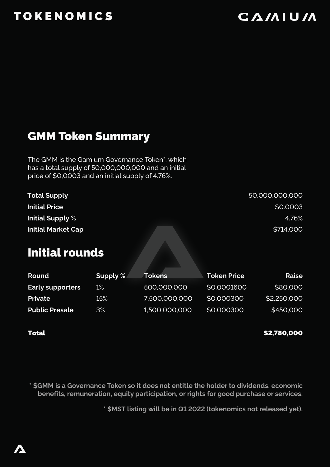# TOKENOMICS

# **CAMIUM**

#### GMM Token Summary

The GMM is the Gamium Governance Token\*, which has a total supply of 50,000,000,000 and an initial price of \$0,0003 and an initial supply of 4.76%.

| <b>Total Supply</b>       | 50,000,000,000 |
|---------------------------|----------------|
| <b>Initial Price</b>      | \$0.0003       |
| Initial Supply %          | 4.76%          |
| <b>Initial Market Cap</b> | \$714,000      |

#### Initial rounds

| Round                   | Supply $\%$ | <b>Tokens</b> | <b>Token Price</b> | Raise       |
|-------------------------|-------------|---------------|--------------------|-------------|
| <b>Early supporters</b> | $1\%$       | 500,000,000   | \$0,0001600        | \$80,000    |
| <b>Private</b>          | $15\%$      | 7,500,000,000 | \$0,000300         | \$2,250,000 |
| <b>Public Presale</b>   | 3%          | 1,500,000,000 | \$0,000300         | \$450,000   |

#### Total

\$2,780,000

**\* \$GMM is a Governance Token so it does not entitle the holder to dividends, economic benefits, remuneration, equity participation, or rights for good purchase or services.**

**\* \$MST listing will be in Q1 2022 (tokenomics not released yet).**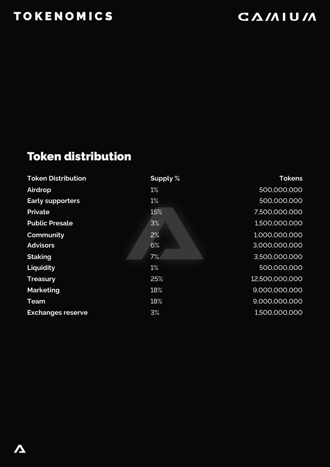# **TOKENOMICS**

# **CAMIUM**

## Token distribution

| <b>Token Distribution</b> | Supply % | <b>Tokens</b>  |
|---------------------------|----------|----------------|
| Airdrop                   | 1%       | 500,000,000    |
| <b>Early supporters</b>   | 1%       | 500,000,000    |
| <b>Private</b>            | 15%      | 7,500,000,000  |
| <b>Public Presale</b>     | 3%       | 1,500,000,000  |
| Community                 | 2%       | 1,000,000,000  |
| <b>Advisors</b>           | 6%       | 3,000,000,000  |
| <b>Staking</b>            | 7%       | 3,500,000,000  |
| Liquidity                 | 1%       | 500,000,000    |
| <b>Treasury</b>           | 25%      | 12,500,000,000 |
| <b>Marketing</b>          | 18%      | 9,000,000,000  |
| Team                      | 18%      | 9,000,000,000  |
| <b>Exchanges reserve</b>  | 3%       | 1,500,000,000  |